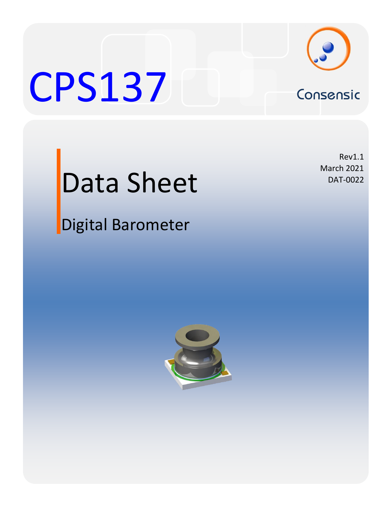

# CPS137 Consensic



## Data Sheet

Digital Barometer

Rev1.1 March 2021 DAT-0022

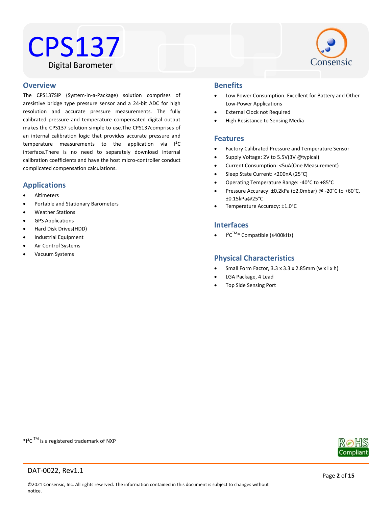### CPS137 Digital Barometer



#### Water Resistant **Overview**

The CPS137SIP (System-in-a-Package) solution comprises of aresistive bridge type pressure sensor and a 24-bit ADC for high resolution and accurate pressure measurements. The fully calibrated pressure and temperature compensated digital output makes the CPS137 solution simple to use.The CPS137comprises of an internal calibration logic that provides accurate pressure and temperature measurements to the application via I²C interface.There is no need to separately download internal calibration coefficients and have the host micro-controller conduct complicated compensation calculations.

#### **Applications**

- Altimeters
- Portable and Stationary Barometers
- Weather Stations
- GPS Applications
- Hard Disk Drives(HDD)
- Industrial Equipment
- Air Control Systems
- Vacuum Systems

#### **Benefits**

- Low Power Consumption. Excellent for Battery and Other Low-Power Applications
- External Clock not Required
- High Resistance to Sensing Media

#### **Features**

- Factory Calibrated Pressure and Temperature Sensor
- Supply Voltage: 2V to 5.5V(3V @typical)
- Current Consumption: <5uA(One Measurement)
- Sleep State Current: <200nA (25°C)
- Operating Temperature Range: -40°C to +85°C
- Pressure Accuracy: ±0.2kPa (±2.0mbar) @ -20°C to +60°C, ±0.15kPa@25°C
- Temperature Accuracy: ±1.0°C

#### **Interfaces**

I²CTM\* Compatible (≤400kHz)

#### **Physical Characteristics**

- Small Form Factor,  $3.3 \times 3.3 \times 2.85$ mm (w  $x \mid x \mid h$ )
- LGA Package, 4 Lead
- Top Side Sensing Port

\*I<sup>2</sup>C <sup>TM</sup> is a registered trademark of NXP

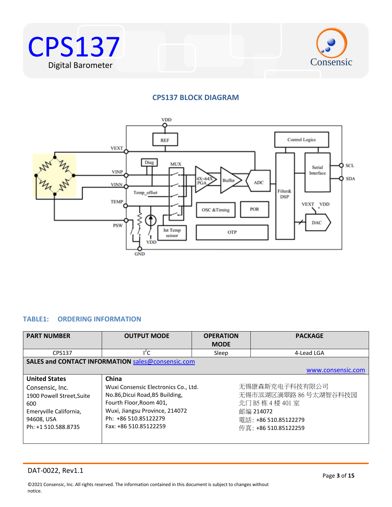



#### **CPS137 BLOCK DIAGRAM**



#### <span id="page-2-0"></span>**TABLE1: ORDERING INFORMATION**

| <b>PART NUMBER</b>                                                                                                                         | <b>OUTPUT MODE</b>                                                                                                                                                                             | <b>OPERATION</b><br><b>MODE</b> | <b>PACKAGE</b>                                                                                                           |
|--------------------------------------------------------------------------------------------------------------------------------------------|------------------------------------------------------------------------------------------------------------------------------------------------------------------------------------------------|---------------------------------|--------------------------------------------------------------------------------------------------------------------------|
| CPS137                                                                                                                                     | $I^2C$                                                                                                                                                                                         | Sleep                           | 4-Lead LGA                                                                                                               |
|                                                                                                                                            | SALES and CONTACT INFORMATION sales@consensic.com                                                                                                                                              |                                 |                                                                                                                          |
|                                                                                                                                            |                                                                                                                                                                                                |                                 | www.consensic.com                                                                                                        |
| <b>United States</b><br>Consensic, Inc.<br>1900 Powell Street, Suite<br>600<br>Emeryville California,<br>94608, USA<br>Ph: +1 510.588.8735 | China<br>Wuxi Consensic Electronics Co., Ltd.<br>No.86, Dicui Road, B5 Building,<br>Fourth Floor, Room 401,<br>Wuxi, Jiangsu Province, 214072<br>Ph: +86 510.85122279<br>Fax: +86 510.85122259 |                                 | 无锡康森斯克电子科技有限公司<br>无锡市滨湖区滴翠路 86号太湖智谷科技园<br>北门 B5 栋 4 楼 401 室<br>邮编 214072<br>電話: +86 510.85122279<br>传真: +86 510.85122259 |

#### DAT-0022, Rev1.1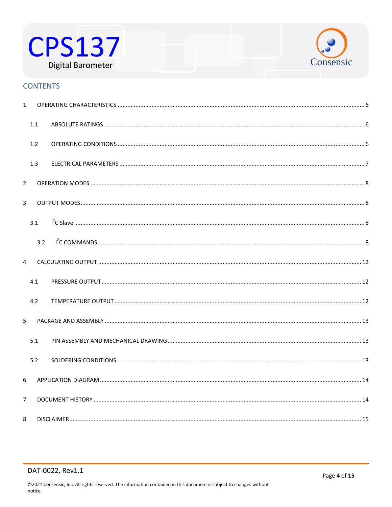



#### **CONTENTS**

| $\mathbf{1}$            |     |  |
|-------------------------|-----|--|
|                         | 1.1 |  |
|                         | 1.2 |  |
|                         | 1.3 |  |
| $\overline{2}$          |     |  |
| $\overline{3}$          |     |  |
|                         | 3.1 |  |
|                         | 3.2 |  |
| $\overline{\mathbf{A}}$ |     |  |
|                         | 4.1 |  |
|                         | 4.2 |  |
| 5                       |     |  |
|                         | 5.1 |  |
|                         | 5.2 |  |
| 6                       |     |  |
| $\overline{7}$          |     |  |
| 8                       |     |  |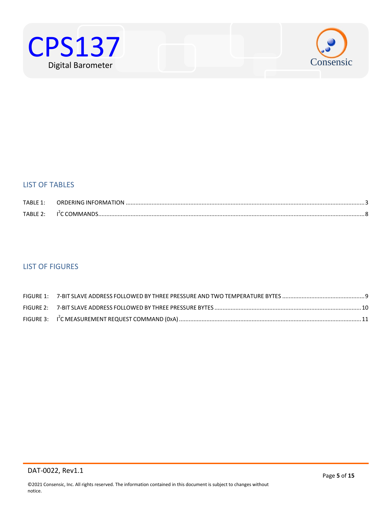



#### LIST OF TABLES

| TABLF1:    | ORDERING INFORMATION. |  |
|------------|-----------------------|--|
| $TARIF$ ). |                       |  |

#### LIST OF FIGURES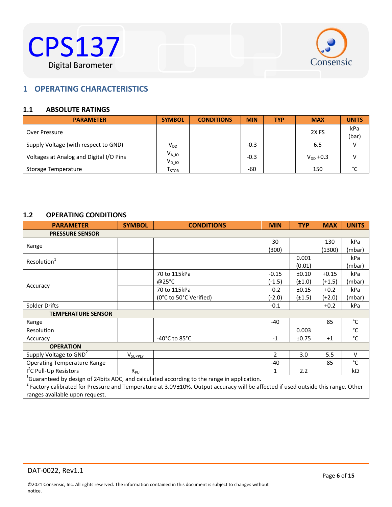



#### <span id="page-5-0"></span> $B^{\text{max}}$ **1 OPERATING CHARACTERISTICS**

#### <span id="page-5-1"></span>**1.1 ABSOLUTE RATINGS**

| <b>PARAMETER</b>                        | <b>SYMBOL</b>                | <b>CONDITIONS</b> | <b>MIN</b> | <b>TYP</b> | <b>MAX</b>       | <b>UNITS</b> |
|-----------------------------------------|------------------------------|-------------------|------------|------------|------------------|--------------|
| Over Pressure                           |                              |                   |            |            | 2X <sub>FS</sub> | kPa<br>(bar) |
| Supply Voltage (with respect to GND)    | V <sub>DD</sub>              |                   | $-0.3$     |            | 6.5              |              |
| Voltages at Analog and Digital I/O Pins | $V_{A\_10}$<br>$V_{DIO}$     |                   | $-0.3$     |            | $V_{DD} + 0.3$   |              |
| Storage Temperature                     | $\mathsf{T}_{\mathsf{STOR}}$ |                   | -60        |            | 150              | °С           |

#### <span id="page-5-2"></span>**1.2 OPERATING CONDITIONS**

| <b>PARAMETER</b>                                                                                 | <b>SYMBOL</b>       | <b>CONDITIONS</b>                  | <b>MIN</b> | <b>TYP</b>  | <b>MAX</b> | <b>UNITS</b> |
|--------------------------------------------------------------------------------------------------|---------------------|------------------------------------|------------|-------------|------------|--------------|
| <b>PRESSURE SENSOR</b>                                                                           |                     |                                    |            |             |            |              |
|                                                                                                  |                     |                                    | 30         |             | 130        | kPa          |
| Range                                                                                            |                     |                                    | (300)      |             | (1300)     | (mbar)       |
| Resolution <sup>1</sup>                                                                          |                     |                                    |            | 0.001       |            | kPa          |
|                                                                                                  |                     |                                    |            | (0.01)      |            | (mbar)       |
|                                                                                                  |                     | 70 to 115kPa                       | $-0.15$    | ±0.10       | $+0.15$    | kPa          |
|                                                                                                  |                     | @25°C                              | $(-1.5)$   | $(\pm 1.0)$ | $(+1.5)$   | (mbar)       |
| Accuracy                                                                                         |                     | 70 to 115kPa                       | $-0.2$     | ±0.15       | $+0.2$     | kPa          |
|                                                                                                  |                     | (0°C to 50°C Verified)             | (-2.0)     | $(\pm 1.5)$ | $(+2.0)$   | (mbar)       |
| Solder Drifts                                                                                    |                     |                                    | $-0.1$     |             | $+0.2$     | kPa          |
| <b>TEMPERATURE SENSOR</b>                                                                        |                     |                                    |            |             |            |              |
| Range                                                                                            |                     |                                    | -40        |             | 85         | °C           |
| Resolution                                                                                       |                     |                                    |            | 0.003       |            | °C           |
| Accuracy                                                                                         |                     | $-40^{\circ}$ C to 85 $^{\circ}$ C | $-1$       | ±0.75       | $+1$       | $^{\circ}$ C |
| <b>OPERATION</b>                                                                                 |                     |                                    |            |             |            |              |
| Supply Voltage to GND <sup>2</sup>                                                               | V <sub>SUPPLY</sub> |                                    | 2          | 3.0         | 5.5        | $\vee$       |
| <b>Operating Temperature Range</b>                                                               |                     |                                    | $-40$      |             | 85         | $^{\circ}$ C |
| I <sup>'</sup> C Pull-Up Resistors                                                               | $R_{PU}$            |                                    | 1          | 2.2         |            | kΩ           |
| $^{1}$ Guaranteed by design of 24bits ADC, and calculated according to the range in application. |                     |                                    |            |             |            |              |

<sup>1</sup>Guaranteed by design of 24bits ADC, and calculated according to the range in application.<br><sup>2</sup> Factory calibrated for Pressure and Temperature at 3.0V±10%. Output accuracy will be affected if used outside this range. Oth ranges available upon request.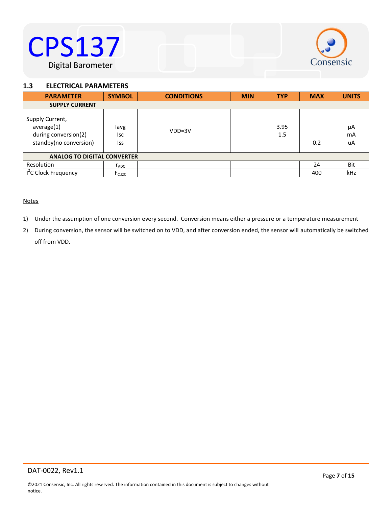

#### <span id="page-6-0"></span>1.3 **ELECTRICAL PARAMETERS**

| <b>PARAMETER</b>                                                                | <b>SYMBOL</b>       | <b>CONDITIONS</b> | <b>MIN</b> | <b>TYP</b>  | <b>MAX</b> | <b>UNITS</b>   |
|---------------------------------------------------------------------------------|---------------------|-------------------|------------|-------------|------------|----------------|
| <b>SUPPLY CURRENT</b>                                                           |                     |                   |            |             |            |                |
| Supply Current,<br>average(1)<br>during conversion(2)<br>standby(no conversion) | lavg<br>lsc<br>Iss  | $VDD=3V$          |            | 3.95<br>1.5 | 0.2        | μA<br>mA<br>uA |
| <b>ANALOG TO DIGITAL CONVERTER</b>                                              |                     |                   |            |             |            |                |
| Resolution                                                                      | $r_{ADC}$           |                   |            |             | 24         | Bit            |
| I <sup>2</sup> C Clock Frequency                                                | F <sub>C, I2C</sub> |                   |            |             | 400        | kHz            |

#### **Notes**

- 1) Under the assumption of one conversion every second. Conversion means either a pressure or a temperature measurement
- 2) During conversion, the sensor will be switched on to VDD, and after conversion ended, the sensor will automatically be switched off from VDD.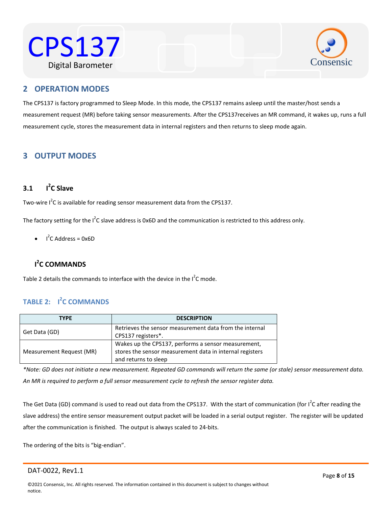



#### <span id="page-7-0"></span>Water Resistant **2 OPERATION MODES**

The CPS137 is factory programmed to Sleep Mode. In this mode, the CPS137 remains asleep until the master/host sends a measurement request (MR) before taking sensor measurements. After the CPS137receives an MR command, it wakes up, runs a full measurement cycle, stores the measurement data in internal registers and then returns to sleep mode again.

#### <span id="page-7-1"></span>**3 OUTPUT MODES**

#### <span id="page-7-2"></span>**3.1 I 2 C Slave**

Two-wire  $I^2C$  is available for reading sensor measurement data from the CPS137.

The factory setting for the I<sup>2</sup>C slave address is 0x6D and the communication is restricted to this address only.

 $I^2C$  Address = 0x6D

#### <span id="page-7-3"></span>**I 2 C COMMANDS**

Table 2 details the commands to interface with the device in the  $I^2C$  mode.

#### <span id="page-7-4"></span>**TABLE 2: I 2 C COMMANDS**

| <b>TYPF</b>              | <b>DESCRIPTION</b>                                                                                                                      |
|--------------------------|-----------------------------------------------------------------------------------------------------------------------------------------|
| Get Data (GD)            | Retrieves the sensor measurement data from the internal<br>CPS137 registers*.                                                           |
| Measurement Request (MR) | Wakes up the CPS137, performs a sensor measurement,<br>stores the sensor measurement data in internal registers<br>and returns to sleep |

*\*Note: GD does not initiate a new measurement. Repeated GD commands will return the same (or stale) sensor measurement data. An MR is required to perform a full sensor measurement cycle to refresh the sensor register data.*

The Get Data (GD) command is used to read out data from the CPS137. With the start of communication (for I<sup>2</sup>C after reading the slave address) the entire sensor measurement output packet will be loaded in a serial output register. The register will be updated after the communication is finished. The output is always scaled to 24-bits.

The ordering of the bits is "big-endian".

DAT-0022, Rev1.1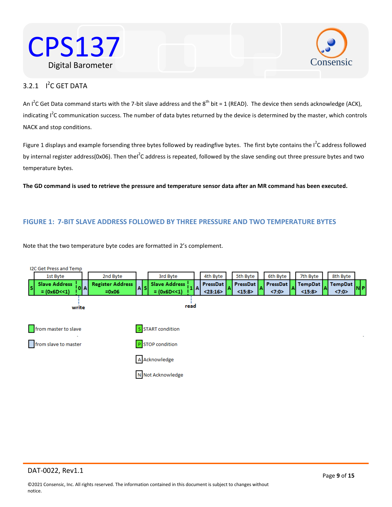



#### $3.2.1$  I<sup>2</sup>C GET DATA

An I<sup>2</sup>C Get Data command starts with the 7-bit slave address and the 8<sup>th</sup> bit = 1 (READ). The device then sends acknowledge (ACK), indicating I<sup>2</sup>C communication success. The number of data bytes returned by the device is determined by the master, which controls NACK and stop conditions.

Figure 1 displays and example forsending three bytes followed by readingfive bytes. The first byte contains the  $I^2C$  address followed by internal register address(0x06). Then thel<sup>2</sup>C address is repeated, followed by the slave sending out three pressure bytes and two temperature bytes.

**The GD command is used to retrieve the pressure and temperature sensor data after an MR command has been executed.**

#### **FIGURE 1: 7-BIT SLAVE ADDRESS FOLLOWED BY THREE PRESSURE AND TWO TEMPERATURE BYTES**

Note that the two temperature byte codes are formatted in 2's complement.

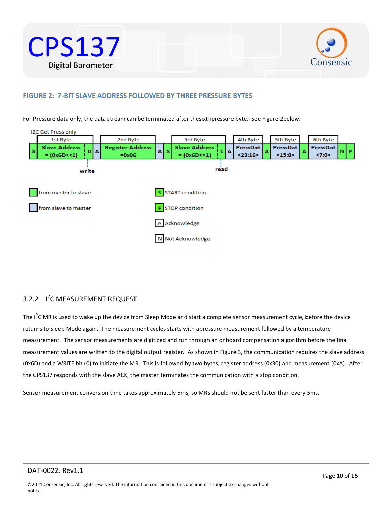



#### **FIGURE 2: 7-BIT SLAVE ADDRESS FOLLOWED BY THREE PRESSURE BYTES**

For Pressure data only, the data stream can be terminated after thesixthpressure byte. See Figure 2below.



#### 3.2.2 <sup>1<sup>2</sup>C MEASUREMENT REQUEST</sup>

The  $I^2$ C MR is used to wake up the device from Sleep Mode and start a complete sensor measurement cycle, before the device returns to Sleep Mode again. The measurement cycles starts with apressure measurement followed by a temperature measurement. The sensor measurements are digitized and run through an onboard compensation algorithm before the final measurement values are written to the digital output register. As shown in Figure 3, the communication requires the slave address (0x6D) and a WRITE bit (0) to initiate the MR. This is followed by two bytes; register address (0x30) and measurement (0xA). After the CPS137 responds with the slave ACK, the master terminates the communication with a stop condition.

Sensor measurement conversion time takes approximately 5ms, so MRs should not be sent faster than every 5ms.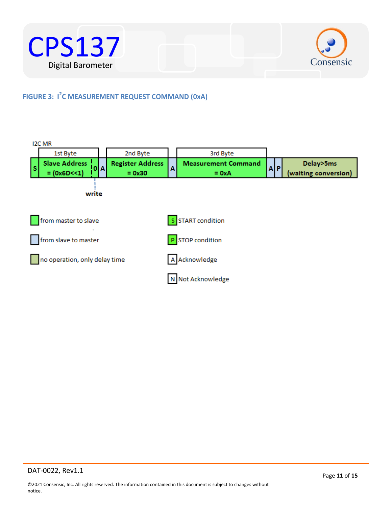



#### **FIGURE 3: I 2 C MEASUREMENT REQUEST COMMAND (0xA)**

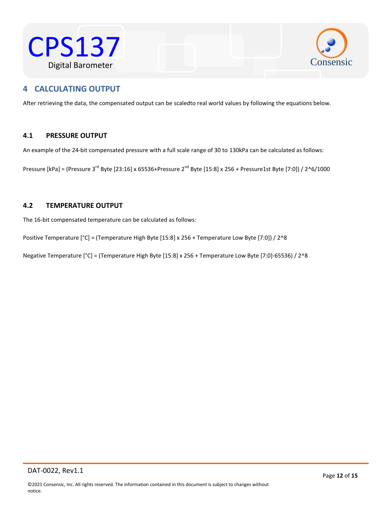



#### <span id="page-11-0"></span> $\mathcal{L}$ Western Resistant **4 CALCULATING OUTPUT**

After retrieving the data, the compensated output can be scaledto real world values by following the equations below.

#### <span id="page-11-1"></span>**4.1 PRESSURE OUTPUT**

An example of the 24-bit compensated pressure with a full scale range of 30 to 130kPa can be calculated as follows:

Pressure [kPa] = (Pressure 3<sup>rd</sup> Byte [23:16] x 65536+Pressure 2<sup>nd</sup> Byte [15:8] x 256 + Pressure1st Byte [7:0]) / 2^6/1000

#### <span id="page-11-2"></span>**4.2 TEMPERATURE OUTPUT**

The 16-bit compensated temperature can be calculated as follows:

Positive Temperature [°C] = (Temperature High Byte [15:8] x 256 + Temperature Low Byte [7:0]) / 2^8

Negative Temperature [°C] = (Temperature High Byte [15:8] x 256 + Temperature Low Byte [7:0]-65536) / 2^8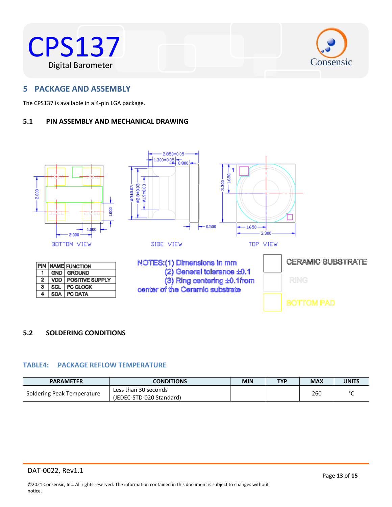



#### <span id="page-12-0"></span> $W$ a of a up a col **5 PACKAGE AND ASSEMBLY**

The CPS137 is available in a 4-pin LGA package.

#### <span id="page-12-1"></span>**5.1 PIN ASSEMBLY AND MECHANICAL DRAWING**



#### <span id="page-12-2"></span>**5.2 SOLDERING CONDITIONS**

#### **TABLE4: PACKAGE REFLOW TEMPERATURE**

| <b>PARAMETER</b>           | <b>CONDITIONS</b>        | <b>MIN</b> | <b>TYP</b> | <b>MAX</b> | UNITS |
|----------------------------|--------------------------|------------|------------|------------|-------|
|                            | Less than 30 seconds     |            |            | 260        |       |
| Soldering Peak Temperature | (JEDEC-STD-020 Standard) |            |            |            |       |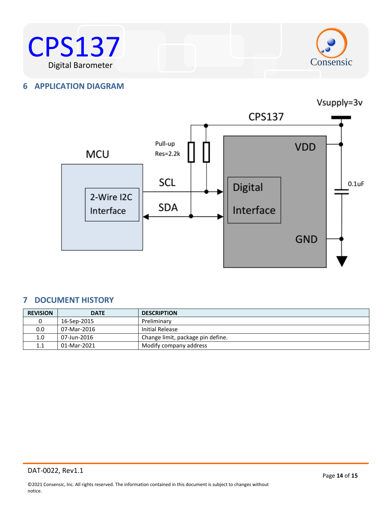



#### <span id="page-13-0"></span>**6 APPLICATION DIAGRAM**



#### <span id="page-13-1"></span>**7 DOCUMENT HISTORY**

| <b>REVISION</b> | <b>DATE</b> | <b>DESCRIPTION</b>                |
|-----------------|-------------|-----------------------------------|
|                 | 16-Sep-2015 | Preliminary                       |
| 0.0             | 07-Mar-2016 | Initial Release                   |
| 1.0             | 07-Jun-2016 | Change limit, package pin define. |
| 1.1             | 01-Mar-2021 | Modify company address            |